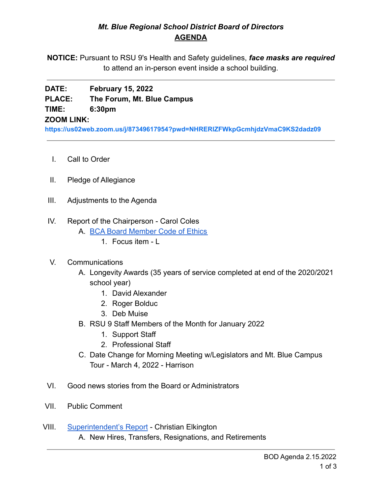### *Mt. Blue Regional School District Board of Directors* **AGENDA**

**NOTICE:** Pursuant to RSU 9's Health and Safety guidelines, *face masks are required* to attend an in-person event inside a school building.

## **DATE: February 15, 2022 PLACE: The Forum, Mt. Blue Campus TIME: 6:30pm**

### **ZOOM LINK:**

**<https://us02web.zoom.us/j/87349617954?pwd=NHRERlZFWkpGcmhjdzVmaC9KS2dadz09>**

- I. Call to Order
- II. Pledge of Allegiance
- III. Adjustments to the Agenda
- IV. Report of the Chairperson Carol Coles
	- A. [BCA Board Member Code of Ethics](https://cdn.branchcms.com/yeQ4XpK43n-1155/docs/district/board-of-directors/policy-manual/section-b/BCA-Board-Member-Code-of-Ethics.pdf)
		- 1. Focus item L
- V. Communications
	- A. Longevity Awards (35 years of service completed at end of the 2020/2021 school year)
		- 1. David Alexander
		- 2. Roger Bolduc
		- 3. Deb Muise
	- B. RSU 9 Staff Members of the Month for January 2022
		- 1. Support Staff
		- 2. Professional Staff
	- C. Date Change for Morning Meeting w/Legislators and Mt. Blue Campus Tour - March 4, 2022 - Harrison
- VI. Good news stories from the Board or Administrators
- VII. Public Comment
- VIII. [Superintendent's Report](https://drive.google.com/file/d/1ScGpymz7eHwRUPt8gwyMkPZFJJs99hGu/view?usp=sharing4zC_6Mo1u0iLpLxU/edit?usp=sharing) Christian Elkington A. New Hires, Transfers, Resignations, and Retirements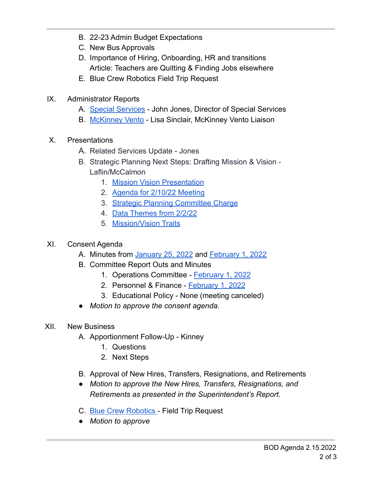- B. 22-23 Admin Budget Expectations
- C. New Bus Approvals
- D. Importance of Hiring, Onboarding, HR and transitions Article: Teachers are Quitting & Finding Jobs elsewhere
- E. Blue Crew Robotics Field Trip Request
- IX. Administrator Reports
	- A. [Special Services](https://drive.google.com/file/d/1PDBFKGCGX_7iPXHa_Jn9Z-N8fPIHomdH/view?usp=sharing) John Jones, Director of Special Services
	- B. [McKinney Vento](https://drive.google.com/file/d/1cDLHXtmbEuei9wgRJPgwXgb4XjniTLF0/view?usp=sharing) Lisa Sinclair, McKinney Vento Liaison
- X. Presentations
	- A. Related Services Update Jones
	- B. Strategic Planning Next Steps: Drafting Mission & Vision Laflin/McCalmon
		- 1. [Mission Vision Presentation](https://drive.google.com/file/d/1iLnFiG9tbeC3XCzJGpcRkjwZQzvmTcqZ/view?usp=sharing)
		- 2. [Agenda for 2/10/22 Meeting](https://drive.google.com/file/d/1bVlou3whYGBo4XNjTg3KcAVcqq_7gylZ/view?usp=sharing)
		- 3. [Strategic Planning Committee Charge](https://drive.google.com/file/d/1gt3MxQxyViMUaAr7OBsniUFrzuE4r8cl/view?usp=sharing)
		- 4. [Data Themes from 2/2/22](https://drive.google.com/file/d/187PRUUuK87O4eLk7e6XCm79leSOwWyEi/view?usp=sharing)
		- 5. [Mission/Vision Traits](https://drive.google.com/file/d/10x542xZ52SYr9Fm_3d72FfaWm8m1FGQw/view?usp=sharing)

# XI. Consent Agenda

- A. Minutes from [January 25, 2022](https://drive.google.com/file/d/15vtLEOgZxsjZDKaFzO1b8HOmLi70hjul/view?usp=sharing) and [February 1, 2022](https://drive.google.com/file/d/1pKBKHfL-frAJ9BlOd_X2FSVz9OvtsgPH/view?usp=sharing)
- B. Committee Report Outs and Minutes
	- 1. Operations Committee [February 1, 2022](https://drive.google.com/file/d/18Eqfptc6TYR4pj6dXQgPiR43tENGUEg-/view?usp=sharing)
	- 2. Personnel & Finance [February 1, 2022](https://drive.google.com/file/d/1Tifg1kin55X9mfWvjUxEkhNrYJJNBfQz/view?usp=sharing)
	- 3. Educational Policy None (meeting canceled)
- *Motion to approve the consent agenda.*
- XII. New Business
	- A. Apportionment Follow-Up Kinney
		- 1. Questions
		- 2. Next Steps
	- B. Approval of New Hires, Transfers, Resignations, and Retirements
	- *● Motion to approve the New Hires, Transfers, Resignations, and Retirements as presented in the Superintendent's Report.*
	- C. [Blue Crew Robotics](https://drive.google.com/file/d/1x8ZUy5A6e1QKBZvAb5LFpaQgOjRXZn05/view?usp=sharing) Field Trip Request
	- *● Motion to approve*